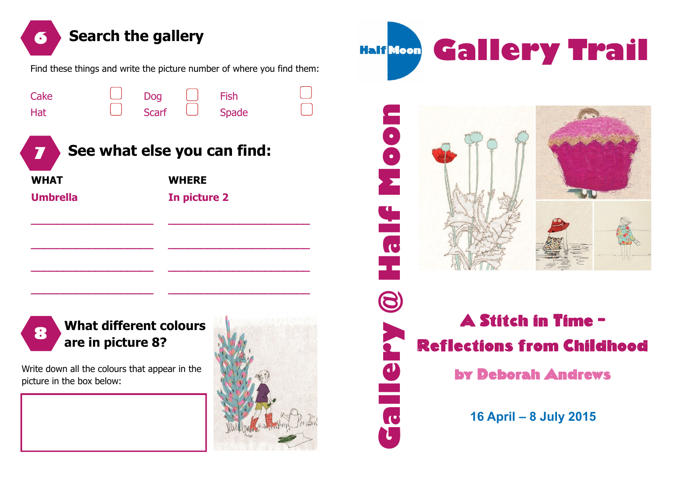

C

picture in the box below:



## by Deborah Andrews

**16 April – 8 July 2015**